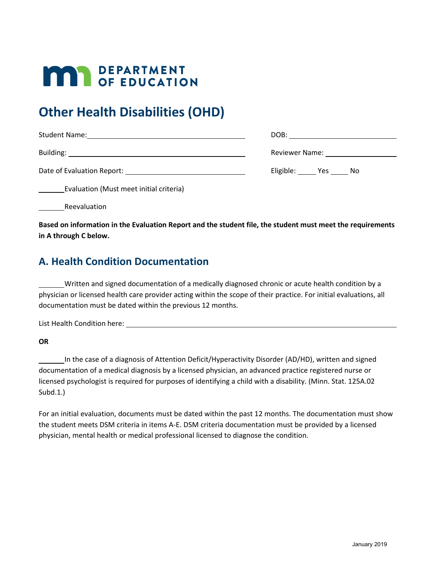# **MAR** DEPARTMENT

## **Other Health Disabilities (OHD)**

| Student Name:<br><u> 1990 - John Stein, fransk politiker (d. 1980)</u> | DOB:                 |
|------------------------------------------------------------------------|----------------------|
|                                                                        | Reviewer Name: Names |
| Date of Evaluation Report:                                             | Eligible: Yes No     |

Evaluation (Must meet initial criteria)

Reevaluation

**Based on information in the Evaluation Report and the student file, the student must meet the requirements in A through C below.**

#### **A. Health Condition Documentation**

Written and signed documentation of a medically diagnosed chronic or acute health condition by a physician or licensed health care provider acting within the scope of their practice. For initial evaluations, all documentation must be dated within the previous 12 months.

List Health Condition here:

**OR** 

In the case of a diagnosis of Attention Deficit/Hyperactivity Disorder (AD/HD), written and signed documentation of a medical diagnosis by a licensed physician, an advanced practice registered nurse or licensed psychologist is required for purposes of identifying a child with a disability. (Minn. Stat. 125A.02 Subd.1.)

For an initial evaluation, documents must be dated within the past 12 months. The documentation must show the student meets DSM criteria in items A-E. DSM criteria documentation must be provided by a licensed physician, mental health or medical professional licensed to diagnose the condition.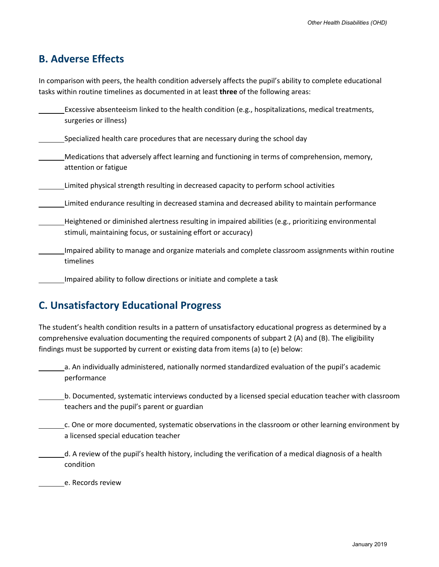#### **B. Adverse Effects**

In comparison with peers, the health condition adversely affects the pupil's ability to complete educational tasks within routine timelines as documented in at least **three** of the following areas:

Excessive absenteeism linked to the health condition (e.g., hospitalizations, medical treatments, surgeries or illness) Specialized health care procedures that are necessary during the school day Medications that adversely affect learning and functioning in terms of comprehension, memory, attention or fatigue Limited physical strength resulting in decreased capacity to perform school activities Limited endurance resulting in decreased stamina and decreased ability to maintain performance Heightened or diminished alertness resulting in impaired abilities (e.g., prioritizing environmental stimuli, maintaining focus, or sustaining effort or accuracy) Impaired ability to manage and organize materials and complete classroom assignments within routine timelines Impaired ability to follow directions or initiate and complete a task

### **C. Unsatisfactory Educational Progress**

The student's health condition results in a pattern of unsatisfactory educational progress as determined by a comprehensive evaluation documenting the required components of subpart 2 (A) and (B). The eligibility findings must be supported by current or existing data from items (a) to (e) below:

a. An individually administered, nationally normed standardized evaluation of the pupil's academic performance

b. Documented, systematic interviews conducted by a licensed special education teacher with classroom teachers and the pupil's parent or guardian

c. One or more documented, systematic observations in the classroom or other learning environment by a licensed special education teacher

d. A review of the pupil's health history, including the verification of a medical diagnosis of a health condition

e. Records review